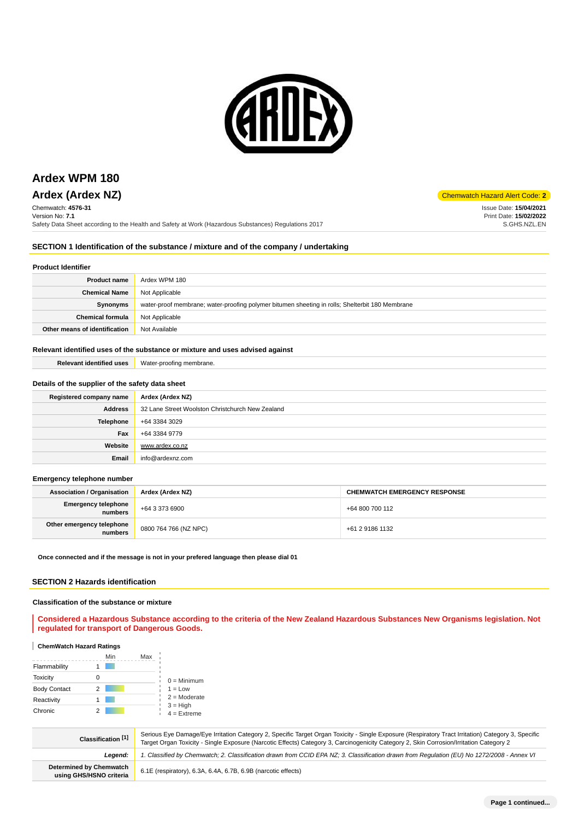

# **Ardex WPM 180**

# **Ardex (Ardex NZ)** Chemwatch Hazard Alert Code: 2

Chemwatch: **4576-31** Version No: **7.1**

Safety Data Sheet according to the Health and Safety at Work (Hazardous Substances) Regulations 2017

Issue Date: **15/04/2021** Print Date: **15/02/2022** S.GHS.NZL.EN

# **SECTION 1 Identification of the substance / mixture and of the company / undertaking**

# **Product Identifier**

| <b>Product name</b>           | Ardex WPM 180                                                                                   |
|-------------------------------|-------------------------------------------------------------------------------------------------|
| <b>Chemical Name</b>          | Not Applicable                                                                                  |
| Synonyms                      | water-proof membrane; water-proofing polymer bitumen sheeting in rolls; Shelterbit 180 Membrane |
| <b>Chemical formula</b>       | Not Applicable                                                                                  |
| Other means of identification | Not Available                                                                                   |

# **Relevant identified uses of the substance or mixture and uses advised against**

| <b>Relevant identified uses</b>                  | Water-proofing membrane.                         |
|--------------------------------------------------|--------------------------------------------------|
|                                                  |                                                  |
| Details of the supplier of the safety data sheet |                                                  |
| Registered company name                          | Ardex (Ardex NZ)                                 |
| <b>Address</b>                                   | 32 Lane Street Woolston Christchurch New Zealand |
| <b>Telephone</b>                                 | +64 3384 3029                                    |
| Fax                                              | +64 3384 9779                                    |
| Website                                          | www.ardex.co.nz                                  |
| Email                                            | info@ardexnz.com                                 |

## **Emergency telephone number**

| <b>Association / Organisation</b>    | Ardex (Ardex NZ)      | <b>CHEMWATCH EMERGENCY RESPONSE</b> |
|--------------------------------------|-----------------------|-------------------------------------|
| Emergency telephone<br>numbers       | +64 3 373 6900        | +64 800 700 112                     |
| Other emergency telephone<br>numbers | 0800 764 766 (NZ NPC) | +61 2 9186 1132                     |

**Once connected and if the message is not in your prefered language then please dial 01**

# **SECTION 2 Hazards identification**

# **Classification of the substance or mixture**

**Considered a Hazardous Substance according to the criteria of the New Zealand Hazardous Substances New Organisms legislation. Not regulated for transport of Dangerous Goods.**

# **ChemWatch Hazard Ratings**

|                     | Min | Max |                             |
|---------------------|-----|-----|-----------------------------|
| Flammability        |     |     |                             |
| <b>Toxicity</b>     |     |     | $0 =$ Minimum               |
| <b>Body Contact</b> |     |     | $1 = Low$                   |
| Reactivity          |     |     | $2 =$ Moderate              |
| Chronic             |     |     | $3 = High$<br>$4 =$ Extreme |

| Classification [1]                                 | Serious Eye Damage/Eye Irritation Category 2, Specific Target Organ Toxicity - Single Exposure (Respiratory Tract Irritation) Category 3, Specific<br>Target Organ Toxicity - Single Exposure (Narcotic Effects) Category 3, Carcinogenicity Category 2, Skin Corrosion/Irritation Category 2 |
|----------------------------------------------------|-----------------------------------------------------------------------------------------------------------------------------------------------------------------------------------------------------------------------------------------------------------------------------------------------|
| Leaend:                                            | 1. Classified by Chemwatch; 2. Classification drawn from CCID EPA NZ; 3. Classification drawn from Requlation (EU) No 1272/2008 - Annex VI                                                                                                                                                    |
| Determined by Chemwatch<br>using GHS/HSNO criteria | 6.1E (respiratory), 6.3A, 6.4A, 6.7B, 6.9B (narcotic effects)                                                                                                                                                                                                                                 |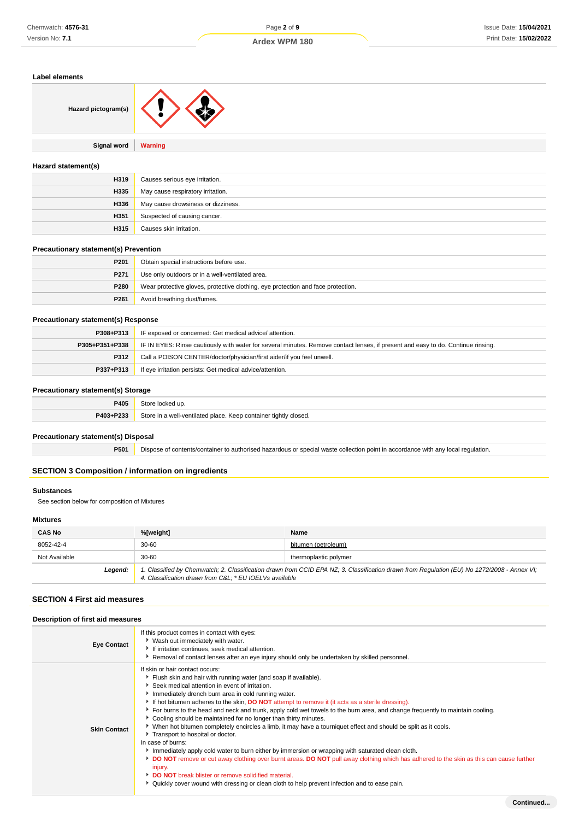# **Ardex WPM 180**

| ------------------  |                                    |
|---------------------|------------------------------------|
| Hazard pictogram(s) |                                    |
| <b>Signal word</b>  | Warning                            |
| Hazard statement(s) |                                    |
| H319                | Causes serious eye irritation.     |
| H335                | May cause respiratory irritation.  |
| H336                | May cause drowsiness or dizziness. |
| H351                | Suspected of causing cancer.       |

**H315** Causes skin irritation.

# **Precautionary statement(s) Prevention**

| P <sub>201</sub> | Obtain special instructions before use.                                          |
|------------------|----------------------------------------------------------------------------------|
| P271             | Use only outdoors or in a well-ventilated area.                                  |
| P280             | Wear protective gloves, protective clothing, eye protection and face protection. |
| P <sub>261</sub> | Avoid breathing dust/fumes.                                                      |

# **Precautionary statement(s) Response**

| P308+P313      | IF exposed or concerned: Get medical advice/attention.                                                                           |
|----------------|----------------------------------------------------------------------------------------------------------------------------------|
| P305+P351+P338 | IF IN EYES: Rinse cautiously with water for several minutes. Remove contact lenses, if present and easy to do. Continue rinsing. |
| P312           | Call a POISON CENTER/doctor/physician/first aider/if you feel unwell.                                                            |
| P337+P313      | If eye irritation persists: Get medical advice/attention.                                                                        |

# **Precautionary statement(s) Storage**

| ____      | ___                                                                    |
|-----------|------------------------------------------------------------------------|
| P405      |                                                                        |
| P403+P233 | Store in<br>in a well-ventilated place. Keep container tightly closed. |
|           |                                                                        |

# **Precautionary statement(s) Disposal**

**P501** Dispose of contents/container to authorised hazardous or special waste collection point in accordance with any local regulation.

# **SECTION 3 Composition / information on ingredients**

# **Substances**

See section below for composition of Mixtures

# **Mixtures**

| <b>CAS No</b> | %[weight]                                                                                                                                                                                             | Name                  |
|---------------|-------------------------------------------------------------------------------------------------------------------------------------------------------------------------------------------------------|-----------------------|
| 8052-42-4     | $30 - 60$                                                                                                                                                                                             | bitumen (petroleum)   |
| Not Available | $30 - 60$                                                                                                                                                                                             | thermoplastic polymer |
| Legend:       | 1. Classified by Chemwatch; 2. Classification drawn from CCID EPA NZ; 3. Classification drawn from Regulation (EU) No 1272/2008 - Annex VI;<br>4. Classification drawn from C&L * EU IOELVs available |                       |

# **SECTION 4 First aid measures**

# **Description of first aid measures**

| <b>Eye Contact</b>  | If this product comes in contact with eyes:<br>▶ Wash out immediately with water.<br>If irritation continues, seek medical attention.<br>Removal of contact lenses after an eye injury should only be undertaken by skilled personnel.                                                                                                                                                                                                                                                                                                                                                                                                                                                                                                                                                                                                                                                                                                                                                                                                                                                                                   |  |
|---------------------|--------------------------------------------------------------------------------------------------------------------------------------------------------------------------------------------------------------------------------------------------------------------------------------------------------------------------------------------------------------------------------------------------------------------------------------------------------------------------------------------------------------------------------------------------------------------------------------------------------------------------------------------------------------------------------------------------------------------------------------------------------------------------------------------------------------------------------------------------------------------------------------------------------------------------------------------------------------------------------------------------------------------------------------------------------------------------------------------------------------------------|--|
| <b>Skin Contact</b> | If skin or hair contact occurs:<br>Flush skin and hair with running water (and soap if available).<br>Seek medical attention in event of irritation.<br>Immediately drench burn area in cold running water.<br>If hot bitumen adheres to the skin, <b>DO NOT</b> attempt to remove it (it acts as a sterile dressing).<br>For burns to the head and neck and trunk, apply cold wet towels to the burn area, and change frequently to maintain cooling.<br>Cooling should be maintained for no longer than thirty minutes.<br>▶ When hot bitumen completely encircles a limb, it may have a tourniquet effect and should be split as it cools.<br>Transport to hospital or doctor.<br>In case of burns:<br>Immediately apply cold water to burn either by immersion or wrapping with saturated clean cloth.<br>DO NOT remove or cut away clothing over burnt areas. DO NOT pull away clothing which has adhered to the skin as this can cause further<br>injury.<br>DO NOT break blister or remove solidified material.<br>▶ Quickly cover wound with dressing or clean cloth to help prevent infection and to ease pain. |  |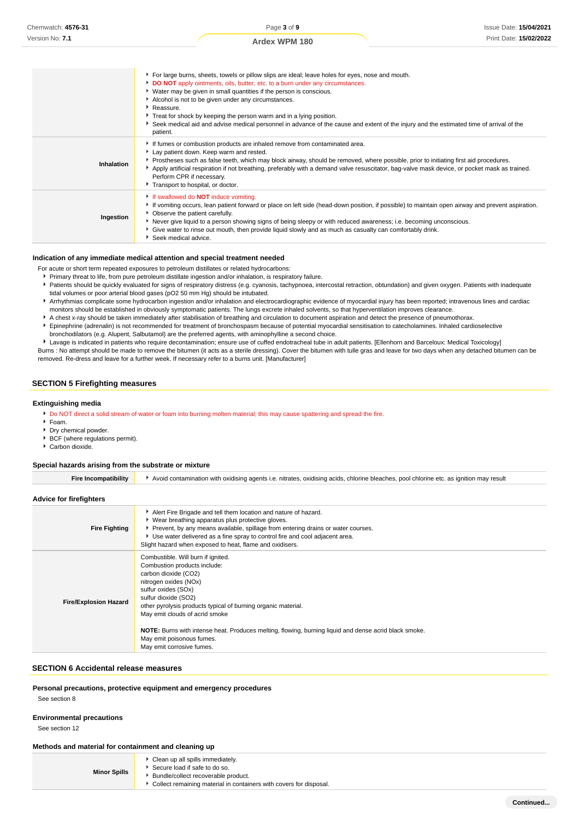|            | ▶ For large burns, sheets, towels or pillow slips are ideal; leave holes for eyes, nose and mouth.<br>DO NOT apply ointments, oils, butter, etc. to a burn under any circumstances.<br>• Water may be given in small quantities if the person is conscious.<br>Alcohol is not to be given under any circumstances.<br>Reassure.<br>Treat for shock by keeping the person warm and in a lying position.<br>▶ Seek medical aid and advise medical personnel in advance of the cause and extent of the injury and the estimated time of arrival of the<br>patient. |
|------------|-----------------------------------------------------------------------------------------------------------------------------------------------------------------------------------------------------------------------------------------------------------------------------------------------------------------------------------------------------------------------------------------------------------------------------------------------------------------------------------------------------------------------------------------------------------------|
| Inhalation | If fumes or combustion products are inhaled remove from contaminated area.<br>Lay patient down. Keep warm and rested.<br>Prostheses such as false teeth, which may block airway, should be removed, where possible, prior to initiating first aid procedures.<br>Apply artificial respiration if not breathing, preferably with a demand valve resuscitator, bag-valve mask device, or pocket mask as trained.<br>Perform CPR if necessary.<br>Transport to hospital, or doctor.                                                                                |
| Ingestion  | If swallowed do <b>NOT</b> induce vomiting.<br>If vomiting occurs, lean patient forward or place on left side (head-down position, if possible) to maintain open airway and prevent aspiration.<br>• Observe the patient carefully.<br>▶ Never give liquid to a person showing signs of being sleepy or with reduced awareness; i.e. becoming unconscious.<br>Give water to rinse out mouth, then provide liquid slowly and as much as casualty can comfortably drink.<br>Seek medical advice.                                                                  |

#### **Indication of any immediate medical attention and special treatment needed**

- For acute or short term repeated exposures to petroleum distillates or related hydrocarbons:
- Primary threat to life, from pure petroleum distillate ingestion and/or inhalation, is respiratory failure.
- Patients should be quickly evaluated for signs of respiratory distress (e.g. cyanosis, tachypnoea, intercostal retraction, obtundation) and given oxygen. Patients with inadequate tidal volumes or poor arterial blood gases (pO2 50 mm Hg) should be intubated.
- Arrhythmias complicate some hydrocarbon ingestion and/or inhalation and electrocardiographic evidence of myocardial injury has been reported; intravenous lines and cardiac monitors should be established in obviously symptomatic patients. The lungs excrete inhaled solvents, so that hyperventilation improves clearance.
- A chest x-ray should be taken immediately after stabilisation of breathing and circulation to document aspiration and detect the presence of pneumothorax.
- Epinephrine (adrenalin) is not recommended for treatment of bronchospasm because of potential myocardial sensitisation to catecholamines. Inhaled cardioselective bronchodilators (e.g. Alupent, Salbutamol) are the preferred agents, with aminophylline a second choice.
- Lavage is indicated in patients who require decontamination; ensure use of cuffed endotracheal tube in adult patients. [Ellenhorn and Barceloux: Medical Toxicology] Burns : No attempt should be made to remove the bitumen (it acts as a sterile dressing). Cover the bitumen with tulle gras and leave for two days when any detached bitumen can be

removed. Re-dress and leave for a further week. If necessary refer to a burns unit. [Manufacturer]

# **SECTION 5 Firefighting measures**

#### **Extinguishing media**

- Do NOT direct a solid stream of water or foam into burning molten material; this may cause spattering and spread the fire.
- $F_{\text{Oam}}$
- Dry chemical powder.
- BCF (where regulations permit).
- Carbon dioxide.

#### **Special hazards arising from the substrate or mixture**

| <b>Fire Incompatibility</b><br>Avoid contamination with oxidising agents i.e. nitrates, oxidising acids, chlorine bleaches, pool chlorine etc. as ignition may result |  |
|-----------------------------------------------------------------------------------------------------------------------------------------------------------------------|--|
|-----------------------------------------------------------------------------------------------------------------------------------------------------------------------|--|

#### **Advice for firefighters**

| <b>Fire Fighting</b>         | Alert Fire Brigade and tell them location and nature of hazard.<br>▶ Wear breathing apparatus plus protective gloves.<br>• Prevent, by any means available, spillage from entering drains or water courses.<br>▶ Use water delivered as a fine spray to control fire and cool adjacent area.<br>Slight hazard when exposed to heat, flame and oxidisers.                                                                                 |
|------------------------------|------------------------------------------------------------------------------------------------------------------------------------------------------------------------------------------------------------------------------------------------------------------------------------------------------------------------------------------------------------------------------------------------------------------------------------------|
| <b>Fire/Explosion Hazard</b> | Combustible. Will burn if ignited.<br>Combustion products include:<br>carbon dioxide (CO2)<br>nitrogen oxides (NOx)<br>sulfur oxides (SOx)<br>sulfur dioxide (SO2)<br>other pyrolysis products typical of burning organic material.<br>May emit clouds of acrid smoke<br>NOTE: Burns with intense heat. Produces melting, flowing, burning liquid and dense acrid black smoke.<br>May emit poisonous fumes.<br>May emit corrosive fumes. |

## **SECTION 6 Accidental release measures**

**Personal precautions, protective equipment and emergency procedures**

See section 8

#### **Environmental precautions**

See section 12

# **Methods and material for containment and cleaning up**

| Clean up all spills immediately.<br>▶ Secure load if safe to do so.<br><b>Minor Spills</b><br>Bundle/collect recoverable product.<br>• Collect remaining material in containers with covers for disposal. |
|-----------------------------------------------------------------------------------------------------------------------------------------------------------------------------------------------------------|
|-----------------------------------------------------------------------------------------------------------------------------------------------------------------------------------------------------------|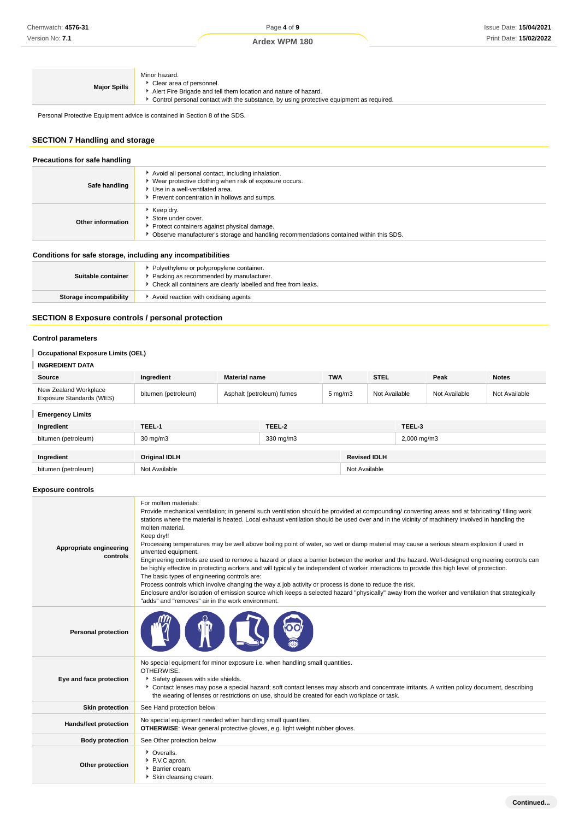| Ardex WPM 180 |  |
|---------------|--|
|---------------|--|

| Minor hazard.<br>Clear area of personnel.<br><b>Major Spills</b><br>Alert Fire Brigade and tell them location and nature of hazard.<br>• Control personal contact with the substance, by using protective equipment as required. |  |
|----------------------------------------------------------------------------------------------------------------------------------------------------------------------------------------------------------------------------------|--|
|----------------------------------------------------------------------------------------------------------------------------------------------------------------------------------------------------------------------------------|--|

Check all containers are clearly labelled and free from leaks.

Personal Protective Equipment advice is contained in Section 8 of the SDS.

# **SECTION 7 Handling and storage**

| Precautions for safe handling                                |                                                                                                                                                                                                  |  |
|--------------------------------------------------------------|--------------------------------------------------------------------------------------------------------------------------------------------------------------------------------------------------|--|
| Safe handling                                                | Avoid all personal contact, including inhalation.<br>▶ Wear protective clothing when risk of exposure occurs.<br>▶ Use in a well-ventilated area.<br>Prevent concentration in hollows and sumps. |  |
| Other information                                            | $\cdot$ Keep dry.<br>Store under cover.<br>Protect containers against physical damage.<br>▶ Observe manufacturer's storage and handling recommendations contained within this SDS.               |  |
| Conditions for safe storage, including any incompatibilities |                                                                                                                                                                                                  |  |
| Suitable container                                           | • Polyethylene or polypropylene container.<br>Packing as recommended by manufacturer.                                                                                                            |  |

# **Storage incompatibility F** Avoid reaction with oxidising agents

# **SECTION 8 Exposure controls / personal protection**

# **Control parameters**

# **Occupational Exposure Limits (OEL)**

# **INGREDIENT DATA**

| <b>Source</b>                                     | Ingredient          | <b>Material name</b>      | <b>TWA</b>   | <b>STEL</b>   | Peak          | <b>Notes</b>  |
|---------------------------------------------------|---------------------|---------------------------|--------------|---------------|---------------|---------------|
| New Zealand Workplace<br>Exposure Standards (WES) | bitumen (petroleum) | Asphalt (petroleum) fumes | $5$ mg/m $3$ | Not Available | Not Available | Not Available |

# **Emergency Limits**

| Ingredient          | TEEL-1               | TEEL-2    |                     | TEEL-3      |
|---------------------|----------------------|-----------|---------------------|-------------|
| bitumen (petroleum) | 30 mg/m3             | 330 mg/m3 |                     | 2,000 mg/m3 |
| Ingredient          | <b>Original IDLH</b> |           | <b>Revised IDLH</b> |             |
| bitumen (petroleum) | Not Available        |           | Not Available       |             |

# **Exposure controls**

| Appropriate engineering<br>controls | For molten materials:<br>Provide mechanical ventilation; in general such ventilation should be provided at compounding/converting areas and at fabricating/ filling work<br>stations where the material is heated. Local exhaust ventilation should be used over and in the vicinity of machinery involved in handling the<br>molten material.<br>Keep dry!!<br>Processing temperatures may be well above boiling point of water, so wet or damp material may cause a serious steam explosion if used in<br>unvented equipment.<br>Engineering controls are used to remove a hazard or place a barrier between the worker and the hazard. Well-designed engineering controls can<br>be highly effective in protecting workers and will typically be independent of worker interactions to provide this high level of protection.<br>The basic types of engineering controls are:<br>Process controls which involve changing the way a job activity or process is done to reduce the risk.<br>Enclosure and/or isolation of emission source which keeps a selected hazard "physically" away from the worker and ventilation that strategically<br>"adds" and "removes" air in the work environment. |
|-------------------------------------|----------------------------------------------------------------------------------------------------------------------------------------------------------------------------------------------------------------------------------------------------------------------------------------------------------------------------------------------------------------------------------------------------------------------------------------------------------------------------------------------------------------------------------------------------------------------------------------------------------------------------------------------------------------------------------------------------------------------------------------------------------------------------------------------------------------------------------------------------------------------------------------------------------------------------------------------------------------------------------------------------------------------------------------------------------------------------------------------------------------------------------------------------------------------------------------------------|
| <b>Personal protection</b>          |                                                                                                                                                                                                                                                                                                                                                                                                                                                                                                                                                                                                                                                                                                                                                                                                                                                                                                                                                                                                                                                                                                                                                                                                    |
| Eye and face protection             | No special equipment for minor exposure i.e. when handling small quantities.<br>OTHERWISE:<br>Safety glasses with side shields.<br>Contact lenses may pose a special hazard; soft contact lenses may absorb and concentrate irritants. A written policy document, describing<br>the wearing of lenses or restrictions on use, should be created for each workplace or task.                                                                                                                                                                                                                                                                                                                                                                                                                                                                                                                                                                                                                                                                                                                                                                                                                        |
| <b>Skin protection</b>              | See Hand protection below                                                                                                                                                                                                                                                                                                                                                                                                                                                                                                                                                                                                                                                                                                                                                                                                                                                                                                                                                                                                                                                                                                                                                                          |
| Hands/feet protection               | No special equipment needed when handling small quantities.<br><b>OTHERWISE:</b> Wear general protective gloves, e.g. light weight rubber gloves.                                                                                                                                                                                                                                                                                                                                                                                                                                                                                                                                                                                                                                                                                                                                                                                                                                                                                                                                                                                                                                                  |
| <b>Body protection</b>              | See Other protection below                                                                                                                                                                                                                                                                                                                                                                                                                                                                                                                                                                                                                                                                                                                                                                                                                                                                                                                                                                                                                                                                                                                                                                         |
| Other protection                    | • Overalls.<br>P.V.C apron.<br>Barrier cream.<br>Skin cleansing cream.                                                                                                                                                                                                                                                                                                                                                                                                                                                                                                                                                                                                                                                                                                                                                                                                                                                                                                                                                                                                                                                                                                                             |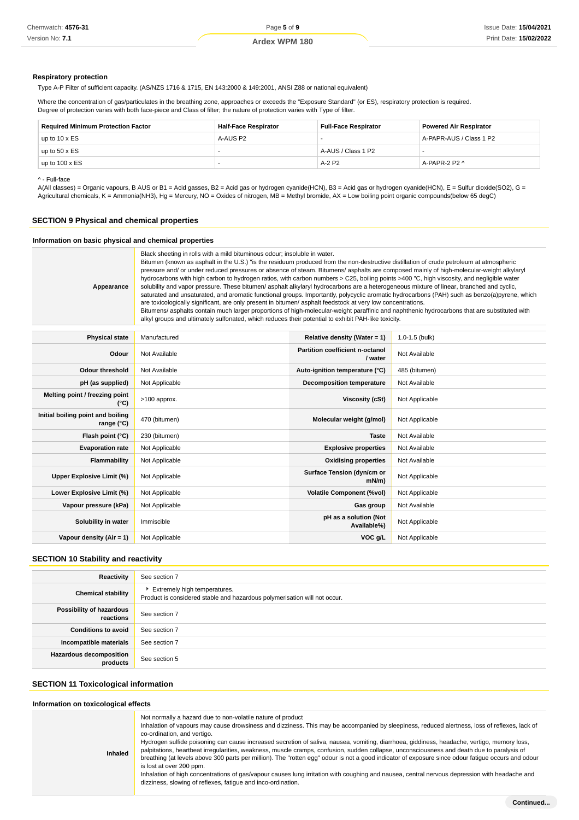#### **Respiratory protection**

Type A-P Filter of sufficient capacity. (AS/NZS 1716 & 1715, EN 143:2000 & 149:2001, ANSI Z88 or national equivalent)

Where the concentration of gas/particulates in the breathing zone, approaches or exceeds the "Exposure Standard" (or ES), respiratory protection is required. Degree of protection varies with both face-piece and Class of filter; the nature of protection varies with Type of filter.

| <b>Required Minimum Protection Factor</b> | <b>Half-Face Respirator</b> | <b>Full-Face Respirator</b> | <b>Powered Air Respirator</b> |
|-------------------------------------------|-----------------------------|-----------------------------|-------------------------------|
| up to $10 \times ES$                      | A-AUS P2                    |                             | A-PAPR-AUS / Class 1 P2       |
| up to $50 \times ES$                      |                             | A-AUS / Class 1 P2          |                               |
| up to $100 \times ES$                     |                             | $A-2P2$                     | A-PAPR-2 P2 ^                 |

^ - Full-face

A(All classes) = Organic vapours, B AUS or B1 = Acid gasses, B2 = Acid gas or hydrogen cyanide(HCN), B3 = Acid gas or hydrogen cyanide(HCN), E = Sulfur dioxide(SO2), G = Agricultural chemicals, K = Ammonia(NH3), Hg = Mercury, NO = Oxides of nitrogen, MB = Methyl bromide, AX = Low boiling point organic compounds(below 65 degC)

# **SECTION 9 Physical and chemical properties**

# **Information on basic physical and chemical properties**

| Appearance | Black sheeting in rolls with a mild bituminous odour; insoluble in water.<br>Bitumen (known as asphalt in the U.S.) "is the residuum produced from the non-destructive distillation of crude petroleum at atmospheric<br>pressure and/ or under reduced pressures or absence of steam. Bitumens/ asphalts are composed mainly of high-molecular-weight alkylaryl<br>hydrocarbons with high carbon to hydrogen ratios, with carbon numbers > C25, boiling points >400 "C, high viscosity, and negligible water<br>solubility and vapor pressure. These bitumen/ asphalt alkylaryl hydrocarbons are a heterogeneous mixture of linear, branched and cyclic,<br>saturated and unsaturated, and aromatic functional groups. Importantly, polycyclic aromatic hydrocarbons (PAH) such as benzo(a)pyrene, which<br>are toxicologically significant, are only present in bitumen/ asphalt feedstock at very low concentrations.<br>Bitumens/ asphalts contain much larger proportions of high-molecular-weight paraffinic and naphthenic hydrocarbons that are substituted with<br>alkyl groups and ultimately sulfonated, which reduces their potential to exhibit PAH-like toxicity. |
|------------|---------------------------------------------------------------------------------------------------------------------------------------------------------------------------------------------------------------------------------------------------------------------------------------------------------------------------------------------------------------------------------------------------------------------------------------------------------------------------------------------------------------------------------------------------------------------------------------------------------------------------------------------------------------------------------------------------------------------------------------------------------------------------------------------------------------------------------------------------------------------------------------------------------------------------------------------------------------------------------------------------------------------------------------------------------------------------------------------------------------------------------------------------------------------------------|
|------------|---------------------------------------------------------------------------------------------------------------------------------------------------------------------------------------------------------------------------------------------------------------------------------------------------------------------------------------------------------------------------------------------------------------------------------------------------------------------------------------------------------------------------------------------------------------------------------------------------------------------------------------------------------------------------------------------------------------------------------------------------------------------------------------------------------------------------------------------------------------------------------------------------------------------------------------------------------------------------------------------------------------------------------------------------------------------------------------------------------------------------------------------------------------------------------|

| <b>Physical state</b>                           | Manufactured   | Relative density (Water = $1$ )            | $1.0 - 1.5$ (bulk) |
|-------------------------------------------------|----------------|--------------------------------------------|--------------------|
| Odour                                           | Not Available  | Partition coefficient n-octanol<br>/ water | Not Available      |
| <b>Odour threshold</b>                          | Not Available  | Auto-ignition temperature (°C)             | 485 (bitumen)      |
| pH (as supplied)                                | Not Applicable | Decomposition temperature                  | Not Available      |
| Melting point / freezing point<br>(°C)          | >100 approx.   | Viscosity (cSt)                            | Not Applicable     |
| Initial boiling point and boiling<br>range (°C) | 470 (bitumen)  | Molecular weight (g/mol)                   | Not Applicable     |
| Flash point (°C)                                | 230 (bitumen)  | <b>Taste</b>                               | Not Available      |
| <b>Evaporation rate</b>                         | Not Applicable | <b>Explosive properties</b>                | Not Available      |
| Flammability                                    | Not Applicable | <b>Oxidising properties</b>                | Not Available      |
| Upper Explosive Limit (%)                       | Not Applicable | Surface Tension (dyn/cm or<br>$mN/m$ )     | Not Applicable     |
| Lower Explosive Limit (%)                       | Not Applicable | <b>Volatile Component (%vol)</b>           | Not Applicable     |
| Vapour pressure (kPa)                           | Not Applicable | Gas group                                  | Not Available      |
| Solubility in water                             | Immiscible     | pH as a solution (Not<br>Available%)       | Not Applicable     |
| Vapour density (Air = 1)                        | Not Applicable | VOC g/L                                    | Not Applicable     |

# **SECTION 10 Stability and reactivity**

| Reactivity                                 | See section 7                                                                                             |
|--------------------------------------------|-----------------------------------------------------------------------------------------------------------|
| <b>Chemical stability</b>                  | Extremely high temperatures.<br>Product is considered stable and hazardous polymerisation will not occur. |
| Possibility of hazardous<br>reactions      | See section 7                                                                                             |
| <b>Conditions to avoid</b>                 | See section 7                                                                                             |
| Incompatible materials                     | See section 7                                                                                             |
| <b>Hazardous decomposition</b><br>products | See section 5                                                                                             |

#### **SECTION 11 Toxicological information**

#### **Information on toxicological effects Inhaled** Not normally a hazard due to non-volatile nature of product Inhalation of vapours may cause drowsiness and dizziness. This may be accompanied by sleepiness, reduced alertness, loss of reflexes, lack of co-ordination, and vertigo. Hydrogen sulfide poisoning can cause increased secretion of saliva, nausea, vomiting, diarrhoea, giddiness, headache, vertigo, memory loss, palpitations, heartbeat irregularities, weakness, muscle cramps, confusion, sudden collapse, unconsciousness and death due to paralysis of breathing (at levels above 300 parts per million). The "rotten egg" odour is not a good indicator of exposure since odour fatigue occurs and odour is lost at over 200 ppm. Inhalation of high concentrations of gas/vapour causes lung irritation with coughing and nausea, central nervous depression with headache and dizziness, slowing of reflexes, fatigue and inco-ordination.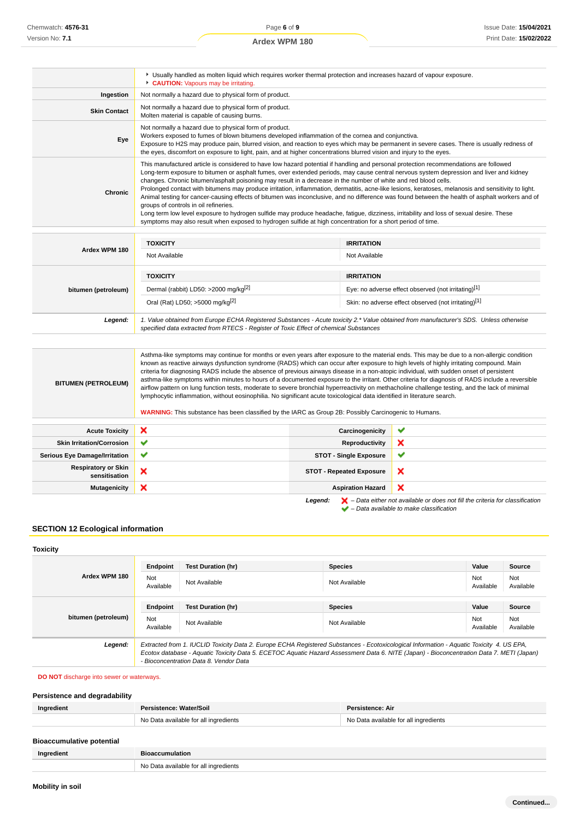|                     | Usually handled as molten liquid which requires worker thermal protection and increases hazard of vapour exposure.<br>CAUTION: Vapours may be irritating.                                                                                                                                                                                                                                                                                                                                                                                                                                                                                                                                                                                                                                                                                                                                                                                                                                                         |
|---------------------|-------------------------------------------------------------------------------------------------------------------------------------------------------------------------------------------------------------------------------------------------------------------------------------------------------------------------------------------------------------------------------------------------------------------------------------------------------------------------------------------------------------------------------------------------------------------------------------------------------------------------------------------------------------------------------------------------------------------------------------------------------------------------------------------------------------------------------------------------------------------------------------------------------------------------------------------------------------------------------------------------------------------|
| Ingestion           | Not normally a hazard due to physical form of product.                                                                                                                                                                                                                                                                                                                                                                                                                                                                                                                                                                                                                                                                                                                                                                                                                                                                                                                                                            |
| <b>Skin Contact</b> | Not normally a hazard due to physical form of product.<br>Molten material is capable of causing burns.                                                                                                                                                                                                                                                                                                                                                                                                                                                                                                                                                                                                                                                                                                                                                                                                                                                                                                            |
| Eye                 | Not normally a hazard due to physical form of product.<br>Workers exposed to fumes of blown bitumens developed inflammation of the cornea and conjunctiva.<br>Exposure to H2S may produce pain, blurred vision, and reaction to eyes which may be permanent in severe cases. There is usually redness of<br>the eyes, discomfort on exposure to light, pain, and at higher concentrations blurred vision and injury to the eyes.                                                                                                                                                                                                                                                                                                                                                                                                                                                                                                                                                                                  |
| <b>Chronic</b>      | This manufactured article is considered to have low hazard potential if handling and personal protection recommendations are followed<br>Long-term exposure to bitumen or asphalt fumes, over extended periods, may cause central nervous system depression and liver and kidney<br>changes. Chronic bitumen/asphalt poisoning may result in a decrease in the number of white and red blood cells.<br>Prolonged contact with bitumens may produce irritation, inflammation, dermatitis, acne-like lesions, keratoses, melanosis and sensitivity to light.<br>Animal testing for cancer-causing effects of bitumen was inconclusive, and no difference was found between the health of asphalt workers and of<br>groups of controls in oil refineries.<br>Long term low level exposure to hydrogen sulfide may produce headache, fatigue, dizziness, irritability and loss of sexual desire. These<br>symptoms may also result when exposed to hydrogen sulfide at high concentration for a short period of time. |

| Ardex WPM 180       | <b>TOXICITY</b><br>Not Available                                                                                                                                                                                                | <b>IRRITATION</b><br>Not Available                                                                                               |
|---------------------|---------------------------------------------------------------------------------------------------------------------------------------------------------------------------------------------------------------------------------|----------------------------------------------------------------------------------------------------------------------------------|
| bitumen (petroleum) | <b>TOXICITY</b><br>Dermal (rabbit) LD50: >2000 mg/kg <sup>[2]</sup><br>Oral (Rat) LD50; >5000 mg/kg <sup>[2]</sup>                                                                                                              | <b>IRRITATION</b><br>Eye: no adverse effect observed (not irritating)[1]<br>Skin: no adverse effect observed (not irritating)[1] |
| Legend:             | 1. Value obtained from Europe ECHA Registered Substances - Acute toxicity 2.* Value obtained from manufacturer's SDS. Unless otherwise<br>specified data extracted from RTECS - Register of Toxic Effect of chemical Substances |                                                                                                                                  |

| <b>BITUMEN (PETROLEUM)</b>                  | Asthma-like symptoms may continue for months or even years after exposure to the material ends. This may be due to a non-allergic condition<br>known as reactive airways dysfunction syndrome (RADS) which can occur after exposure to high levels of highly irritating compound. Main<br>criteria for diagnosing RADS include the absence of previous airways disease in a non-atopic individual, with sudden onset of persistent<br>asthma-like symptoms within minutes to hours of a documented exposure to the irritant. Other criteria for diagnosis of RADS include a reversible<br>airflow pattern on lung function tests, moderate to severe bronchial hyperreactivity on methacholine challenge testing, and the lack of minimal<br>lymphocytic inflammation, without eosinophilia. No significant acute toxicological data identified in literature search.<br><b>WARNING:</b> This substance has been classified by the IARC as Group 2B: Possibly Carcinogenic to Humans. |                                 |                                                                                                    |
|---------------------------------------------|---------------------------------------------------------------------------------------------------------------------------------------------------------------------------------------------------------------------------------------------------------------------------------------------------------------------------------------------------------------------------------------------------------------------------------------------------------------------------------------------------------------------------------------------------------------------------------------------------------------------------------------------------------------------------------------------------------------------------------------------------------------------------------------------------------------------------------------------------------------------------------------------------------------------------------------------------------------------------------------|---------------------------------|----------------------------------------------------------------------------------------------------|
|                                             |                                                                                                                                                                                                                                                                                                                                                                                                                                                                                                                                                                                                                                                                                                                                                                                                                                                                                                                                                                                       |                                 |                                                                                                    |
| <b>Acute Toxicity</b>                       | ×                                                                                                                                                                                                                                                                                                                                                                                                                                                                                                                                                                                                                                                                                                                                                                                                                                                                                                                                                                                     | Carcinogenicity                 | ັ                                                                                                  |
| <b>Skin Irritation/Corrosion</b>            | ✔                                                                                                                                                                                                                                                                                                                                                                                                                                                                                                                                                                                                                                                                                                                                                                                                                                                                                                                                                                                     | <b>Reproductivity</b>           | ×                                                                                                  |
| <b>Serious Eye Damage/Irritation</b>        | ✔                                                                                                                                                                                                                                                                                                                                                                                                                                                                                                                                                                                                                                                                                                                                                                                                                                                                                                                                                                                     | <b>STOT - Single Exposure</b>   | ✔                                                                                                  |
| <b>Respiratory or Skin</b><br>sensitisation | ×                                                                                                                                                                                                                                                                                                                                                                                                                                                                                                                                                                                                                                                                                                                                                                                                                                                                                                                                                                                     | <b>STOT - Repeated Exposure</b> | ×                                                                                                  |
| <b>Mutagenicity</b>                         | ×                                                                                                                                                                                                                                                                                                                                                                                                                                                                                                                                                                                                                                                                                                                                                                                                                                                                                                                                                                                     | <b>Aspiration Hazard</b>        | ×                                                                                                  |
|                                             |                                                                                                                                                                                                                                                                                                                                                                                                                                                                                                                                                                                                                                                                                                                                                                                                                                                                                                                                                                                       | Legend:                         | $\blacktriangleright$ - Data either not available or does not fill the criteria for classification |

# – Data available to make classification

# **SECTION 12 Ecological information**

# **Toxicity**

|                     | Endpoint                                                                                                                                                                                                                                                                                                                       | <b>Test Duration (hr)</b> | <b>Species</b> | Value            | <b>Source</b>    |
|---------------------|--------------------------------------------------------------------------------------------------------------------------------------------------------------------------------------------------------------------------------------------------------------------------------------------------------------------------------|---------------------------|----------------|------------------|------------------|
| Ardex WPM 180       | Not<br>Available                                                                                                                                                                                                                                                                                                               | Not Available             | Not Available  | Not<br>Available | Not<br>Available |
|                     |                                                                                                                                                                                                                                                                                                                                |                           |                |                  |                  |
| bitumen (petroleum) | Endpoint                                                                                                                                                                                                                                                                                                                       | <b>Test Duration (hr)</b> | <b>Species</b> | Value            | <b>Source</b>    |
|                     | Not<br>Available                                                                                                                                                                                                                                                                                                               | Not Available             | Not Available  | Not<br>Available | Not<br>Available |
| Legend:             | Extracted from 1. IUCLID Toxicity Data 2. Europe ECHA Registered Substances - Ecotoxicological Information - Aquatic Toxicity 4. US EPA,<br>Ecotox database - Aquatic Toxicity Data 5. ECETOC Aquatic Hazard Assessment Data 6. NITE (Japan) - Bioconcentration Data 7. METI (Japan)<br>- Bioconcentration Data 8. Vendor Data |                           |                |                  |                  |

# **DO NOT** discharge into sewer or waterways.

# **Persistence and degradability**

| Ingredient                       | Persistence: Water/Soil               | Persistence: Air                      |
|----------------------------------|---------------------------------------|---------------------------------------|
|                                  | No Data available for all ingredients | No Data available for all ingredients |
| <b>Bioaccumulative potential</b> |                                       |                                       |
| Ingredient                       | <b>Bioaccumulation</b>                |                                       |
|                                  | No Data available for all ingredients |                                       |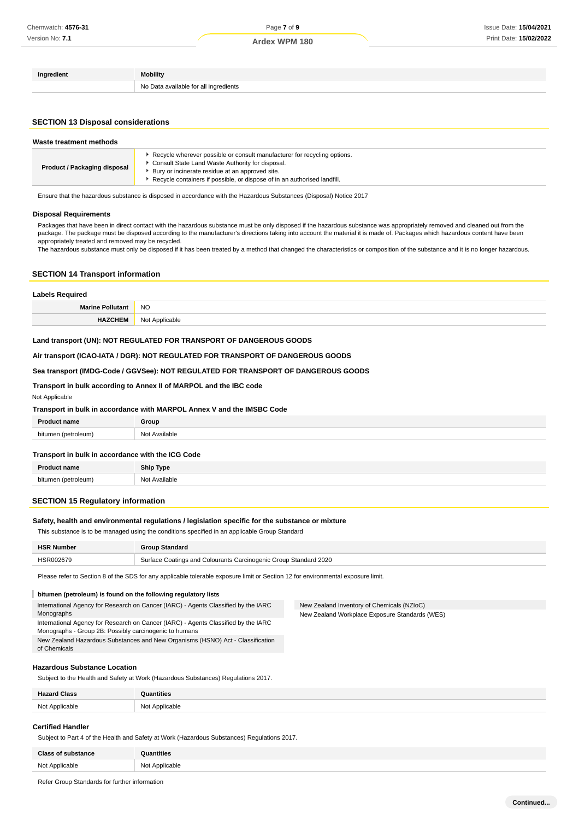| Ingredient | Mobility                              |
|------------|---------------------------------------|
|            | No Data available for all ingredients |

# **SECTION 13 Disposal considerations**

| Waste treatment methods      |                                                                                                                                                                                                                                                             |  |
|------------------------------|-------------------------------------------------------------------------------------------------------------------------------------------------------------------------------------------------------------------------------------------------------------|--|
| Product / Packaging disposal | Recycle wherever possible or consult manufacturer for recycling options.<br>Consult State Land Waste Authority for disposal.<br>Bury or incinerate residue at an approved site.<br>Recycle containers if possible, or dispose of in an authorised landfill. |  |

Ensure that the hazardous substance is disposed in accordance with the Hazardous Substances (Disposal) Notice 2017

#### **Disposal Requirements**

Packages that have been in direct contact with the hazardous substance must be only disposed if the hazardous substance was appropriately removed and cleaned out from the package. The package must be disposed according to the manufacturer's directions taking into account the material it is made of. Packages which hazardous content have been appropriately treated and removed may be recycled.

The hazardous substance must only be disposed if it has been treated by a method that changed the characteristics or composition of the substance and it is no longer hazardous.

## **SECTION 14 Transport information**

| <b>Labels Required</b>  |                |
|-------------------------|----------------|
| <b>Marine Pollutant</b> | <b>NO</b>      |
| <b>HAZCHEM</b>          | Not Applicable |

# **Land transport (UN): NOT REGULATED FOR TRANSPORT OF DANGEROUS GOODS**

# **Air transport (ICAO-IATA / DGR): NOT REGULATED FOR TRANSPORT OF DANGEROUS GOODS**

#### **Sea transport (IMDG-Code / GGVSee): NOT REGULATED FOR TRANSPORT OF DANGEROUS GOODS**

## **Transport in bulk according to Annex II of MARPOL and the IBC code**

| Not Applicable |  |  |
|----------------|--|--|
|----------------|--|--|

| Transport in bulk in accordance with MARPOL Annex V and the IMSBC Code |               |  |
|------------------------------------------------------------------------|---------------|--|
| <b>Product name</b>                                                    | Group         |  |
| bitumen (petroleum)                                                    | Not Available |  |

# **Transport in bulk in accordance with the ICG Code**

| D <sub>ro</sub><br>name | <b>Ship Type</b> |
|-------------------------|------------------|
| etroleum)               | Available        |
| bitumer                 | Not              |
| .                       | .                |

## **SECTION 15 Regulatory information**

#### **Safety, health and environmental regulations / legislation specific for the substance or mixture**

This substance is to be managed using the conditions specified in an applicable Group Standard

| <b>HSR Number</b> | Group Standard                                                   |  |
|-------------------|------------------------------------------------------------------|--|
| <b>HSR00267S</b>  | Surface Coatings and Colourants Carcinogenic Group Standard 2020 |  |

New Zealand Inventory of Chemicals (NZIoC) New Zealand Workplace Exposure Standards (WES)

Please refer to Section 8 of the SDS for any applicable tolerable exposure limit or Section 12 for environmental exposure limit.

#### **bitumen (petroleum) is found on the following regulatory lists**

International Agency for Research on Cancer (IARC) - Agents Classified by the IARC Monographs

International Agency for Research on Cancer (IARC) - Agents Classified by the IARC

Monographs - Group 2B: Possibly carcinogenic to humans

New Zealand Hazardous Substances and New Organisms (HSNO) Act - Classification of Chemicals

## **Hazardous Substance Location**

Subject to the Health and Safety at Work (Hazardous Substances) Regulations 2017.

| Hazard Class<br>umss | ™ntities                         |
|----------------------|----------------------------------|
| Not Applicable<br>.  | Applicable<br>NM+<br>∣ v∪ u<br>. |

#### **Certified Handler**

Subject to Part 4 of the Health and Safety at Work (Hazardous Substances) Regulations 2017.

| <b>Class of substance</b> | <b>Quantities</b> |
|---------------------------|-------------------|
| Not Applicable            | Not Applicable    |
|                           | IVU               |

Refer Group Standards for further information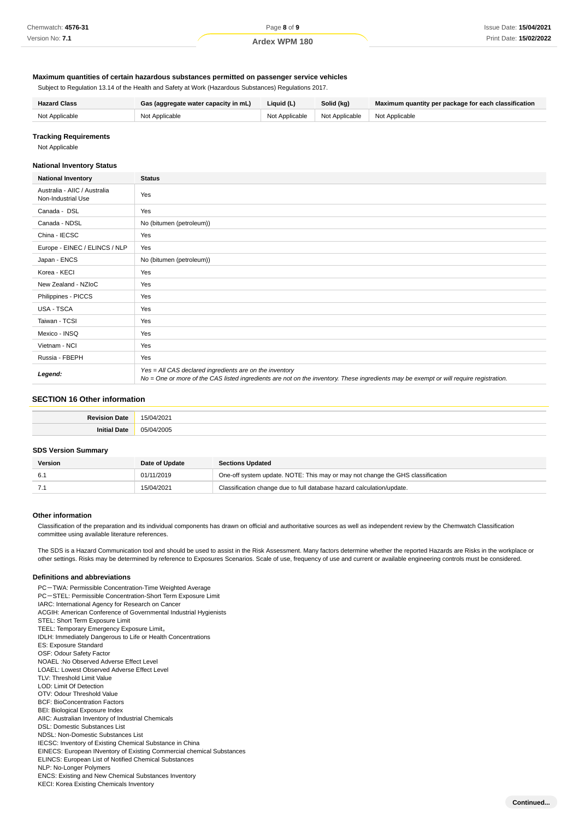| Chemwatch: 4576-31     |  |
|------------------------|--|
| Version No: <b>7.1</b> |  |

# **Maximum quantities of certain hazardous substances permitted on passenger service vehicles**

Subject to Regulation 13.14 of the Health and Safety at Work (Hazardous Substances) Regulations 2017.

| <b>Hazard Class</b> | Gas (aggregate water capacity in mL) | Liquid (L)                       | Solid (kg)     | Maximum quantity per package for each classification |
|---------------------|--------------------------------------|----------------------------------|----------------|------------------------------------------------------|
| Not Applicable      | Not Applicable                       | Not Applicable<br>Not Applicable | Not Applicable |                                                      |

**Tracking Requirements**

Not Applicable

## **National Inventory Status**

| <b>National Inventory</b>                          | <b>Status</b>                                                                                                                                                                                     |
|----------------------------------------------------|---------------------------------------------------------------------------------------------------------------------------------------------------------------------------------------------------|
| Australia - AIIC / Australia<br>Non-Industrial Use | Yes                                                                                                                                                                                               |
| Canada - DSL                                       | Yes                                                                                                                                                                                               |
| Canada - NDSL                                      | No (bitumen (petroleum))                                                                                                                                                                          |
| China - IECSC                                      | Yes                                                                                                                                                                                               |
| Europe - EINEC / ELINCS / NLP                      | Yes                                                                                                                                                                                               |
| Japan - ENCS                                       | No (bitumen (petroleum))                                                                                                                                                                          |
| Korea - KECI                                       | Yes                                                                                                                                                                                               |
| New Zealand - NZIoC                                | Yes                                                                                                                                                                                               |
| Philippines - PICCS                                | Yes                                                                                                                                                                                               |
| USA - TSCA                                         | Yes                                                                                                                                                                                               |
| Taiwan - TCSI                                      | Yes                                                                                                                                                                                               |
| Mexico - INSQ                                      | Yes                                                                                                                                                                                               |
| Vietnam - NCI                                      | Yes                                                                                                                                                                                               |
| Russia - FBEPH                                     | Yes                                                                                                                                                                                               |
| Legend:                                            | Yes = All CAS declared ingredients are on the inventory<br>No = One or more of the CAS listed ingredients are not on the inventory. These ingredients may be exempt or will require registration. |

# **SECTION 16 Other information**

| n. | $\sim$<br>$\sim$<br>$\sim$ |
|----|----------------------------|
|    | $\sim$                     |

# **SDS Version Summary**

| Version | Date of Update | <b>Sections Updated</b>                                                        |
|---------|----------------|--------------------------------------------------------------------------------|
|         | 01/11/2019     | One-off system update. NOTE: This may or may not change the GHS classification |
|         | 15/04/2021     | Classification change due to full database hazard calculation/update.          |

#### **Other information**

Classification of the preparation and its individual components has drawn on official and authoritative sources as well as independent review by the Chemwatch Classification committee using available literature references.

The SDS is a Hazard Communication tool and should be used to assist in the Risk Assessment. Many factors determine whether the reported Hazards are Risks in the workplace or other settings. Risks may be determined by reference to Exposures Scenarios. Scale of use, frequency of use and current or available engineering controls must be considered.

#### **Definitions and abbreviations**

PC-TWA: Permissible Concentration-Time Weighted Average PC-STEL: Permissible Concentration-Short Term Exposure Limit IARC: International Agency for Research on Cancer ACGIH: American Conference of Governmental Industrial Hygienists STEL: Short Term Exposure Limit TEEL: Temporary Emergency Exposure Limit。 IDLH: Immediately Dangerous to Life or Health Concentrations ES: Exposure Standard OSF: Odour Safety Factor NOAEL :No Observed Adverse Effect Level LOAEL: Lowest Observed Adverse Effect Level TLV: Threshold Limit Value LOD: Limit Of Detection OTV: Odour Threshold Value BCF: BioConcentration Factors BEI: Biological Exposure Index AIIC: Australian Inventory of Industrial Chemicals DSL: Domestic Substances List NDSL: Non-Domestic Substances List IECSC: Inventory of Existing Chemical Substance in China EINECS: European INventory of Existing Commercial chemical Substances ELINCS: European List of Notified Chemical Substances NLP: No-Longer Polymers ENCS: Existing and New Chemical Substances Inventory KECI: Korea Existing Chemicals Inventory